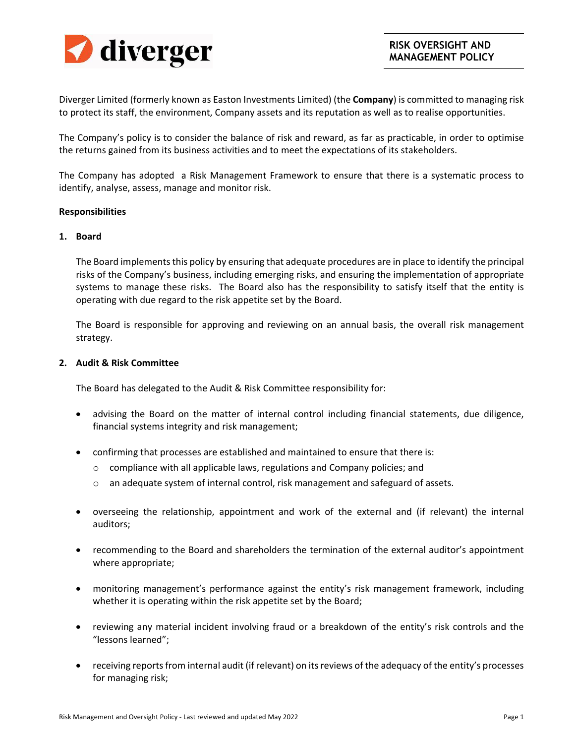

Diverger Limited (formerly known as Easton Investments Limited) (the **Company**) is committed to managing risk to protect its staff, the environment, Company assets and its reputation as well as to realise opportunities.

The Company's policy is to consider the balance of risk and reward, as far as practicable, in order to optimise the returns gained from its business activities and to meet the expectations of its stakeholders.

The Company has adopted a Risk Management Framework to ensure that there is a systematic process to identify, analyse, assess, manage and monitor risk.

# **Responsibilities**

### **1. Board**

The Board implements this policy by ensuring that adequate procedures are in place to identify the principal risks of the Company's business, including emerging risks, and ensuring the implementation of appropriate systems to manage these risks. The Board also has the responsibility to satisfy itself that the entity is operating with due regard to the risk appetite set by the Board.

The Board is responsible for approving and reviewing on an annual basis, the overall risk management strategy.

### **2. Audit & Risk Committee**

The Board has delegated to the Audit & Risk Committee responsibility for:

- advising the Board on the matter of internal control including financial statements, due diligence, financial systems integrity and risk management;
- confirming that processes are established and maintained to ensure that there is:
	- o compliance with all applicable laws, regulations and Company policies; and
	- $\circ$  an adequate system of internal control, risk management and safeguard of assets.
- overseeing the relationship, appointment and work of the external and (if relevant) the internal auditors;
- recommending to the Board and shareholders the termination of the external auditor's appointment where appropriate;
- monitoring management's performance against the entity's risk management framework, including whether it is operating within the risk appetite set by the Board;
- reviewing any material incident involving fraud or a breakdown of the entity's risk controls and the "lessons learned";
- receiving reports from internal audit (if relevant) on its reviews of the adequacy of the entity's processes for managing risk;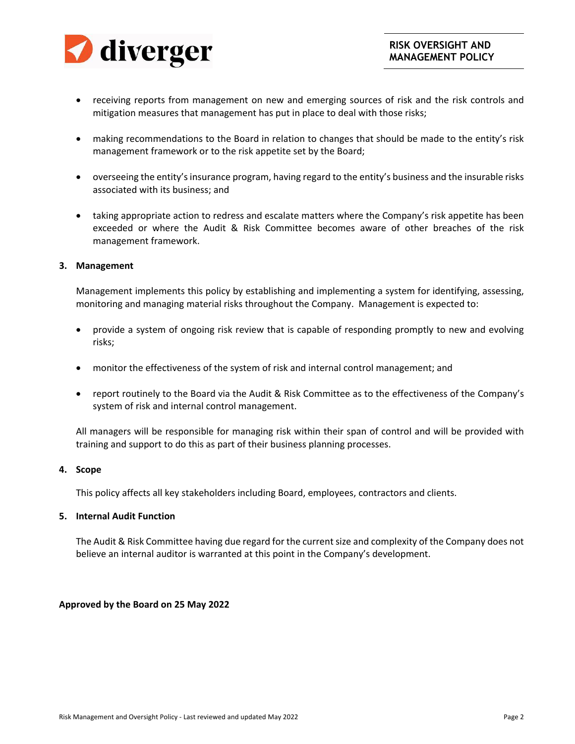

- receiving reports from management on new and emerging sources of risk and the risk controls and mitigation measures that management has put in place to deal with those risks;
- making recommendations to the Board in relation to changes that should be made to the entity's risk management framework or to the risk appetite set by the Board;
- overseeing the entity's insurance program, having regard to the entity's business and the insurable risks associated with its business; and
- taking appropriate action to redress and escalate matters where the Company's risk appetite has been exceeded or where the Audit & Risk Committee becomes aware of other breaches of the risk management framework.

# **3. Management**

Management implements this policy by establishing and implementing a system for identifying, assessing, monitoring and managing material risks throughout the Company. Management is expected to:

- provide a system of ongoing risk review that is capable of responding promptly to new and evolving risks;
- monitor the effectiveness of the system of risk and internal control management; and
- report routinely to the Board via the Audit & Risk Committee as to the effectiveness of the Company's system of risk and internal control management.

All managers will be responsible for managing risk within their span of control and will be provided with training and support to do this as part of their business planning processes.

# **4. Scope**

This policy affects all key stakeholders including Board, employees, contractors and clients.

# **5. Internal Audit Function**

The Audit & Risk Committee having due regard for the current size and complexity of the Company does not believe an internal auditor is warranted at this point in the Company's development.

# **Approved by the Board on 25 May 2022**